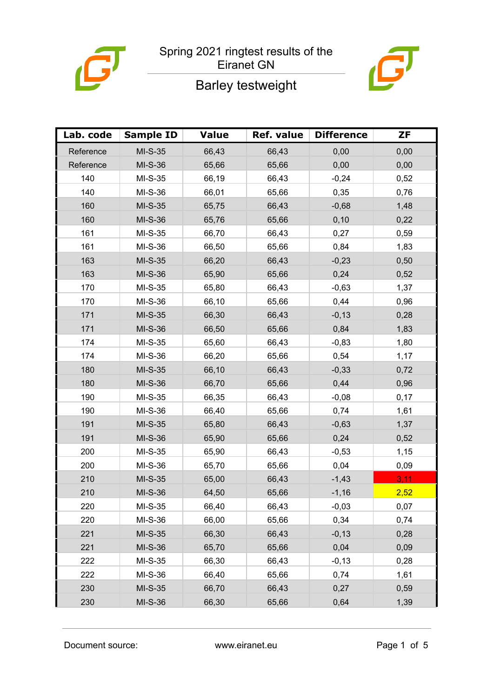



ð

# Barley testweight

| Lab. code | <b>Sample ID</b> | <b>Value</b> | Ref. value | <b>Difference</b> | ZF   |
|-----------|------------------|--------------|------------|-------------------|------|
| Reference | MI-S-35          | 66,43        | 66,43      | 0,00              | 0,00 |
| Reference | MI-S-36          | 65,66        | 65,66      | 0,00              | 0,00 |
| 140       | MI-S-35          | 66,19        | 66,43      | $-0,24$           | 0,52 |
| 140       | MI-S-36          | 66,01        | 65,66      | 0,35              | 0,76 |
| 160       | $MI-S-35$        | 65,75        | 66,43      | $-0,68$           | 1,48 |
| 160       | MI-S-36          | 65,76        | 65,66      | 0, 10             | 0,22 |
| 161       | MI-S-35          | 66,70        | 66,43      | 0,27              | 0,59 |
| 161       | MI-S-36          | 66,50        | 65,66      | 0,84              | 1,83 |
| 163       | $MI-S-35$        | 66,20        | 66,43      | $-0,23$           | 0,50 |
| 163       | MI-S-36          | 65,90        | 65,66      | 0,24              | 0,52 |
| 170       | MI-S-35          | 65,80        | 66,43      | $-0,63$           | 1,37 |
| 170       | MI-S-36          | 66,10        | 65,66      | 0,44              | 0,96 |
| 171       | MI-S-35          | 66,30        | 66,43      | $-0,13$           | 0,28 |
| 171       | MI-S-36          | 66,50        | 65,66      | 0,84              | 1,83 |
| 174       | MI-S-35          | 65,60        | 66,43      | $-0,83$           | 1,80 |
| 174       | MI-S-36          | 66,20        | 65,66      | 0,54              | 1,17 |
| 180       | $MI-S-35$        | 66,10        | 66,43      | $-0,33$           | 0,72 |
| 180       | MI-S-36          | 66,70        | 65,66      | 0,44              | 0,96 |
| 190       | MI-S-35          | 66,35        | 66,43      | $-0,08$           | 0,17 |
| 190       | MI-S-36          | 66,40        | 65,66      | 0,74              | 1,61 |
| 191       | MI-S-35          | 65,80        | 66,43      | $-0,63$           | 1,37 |
| 191       | MI-S-36          | 65,90        | 65,66      | 0,24              | 0,52 |
| 200       | MI-S-35          | 65,90        | 66,43      | $-0,53$           | 1,15 |
| 200       | MI-S-36          | 65,70        | 65,66      | 0,04              | 0,09 |
| 210       | MI-S-35          | 65,00        | 66,43      | $-1,43$           | 3,11 |
| 210       | <b>MI-S-36</b>   | 64,50        | 65,66      | $-1,16$           | 2,52 |
| 220       | MI-S-35          | 66,40        | 66,43      | $-0,03$           | 0,07 |
| 220       | MI-S-36          | 66,00        | 65,66      | 0,34              | 0,74 |
| 221       | MI-S-35          | 66,30        | 66,43      | $-0,13$           | 0,28 |
| 221       | MI-S-36          | 65,70        | 65,66      | 0,04              | 0,09 |
| 222       | MI-S-35          | 66,30        | 66,43      | $-0,13$           | 0,28 |
| 222       | MI-S-36          | 66,40        | 65,66      | 0,74              | 1,61 |
| 230       | MI-S-35          | 66,70        | 66,43      | 0,27              | 0,59 |
| 230       | MI-S-36          | 66,30        | 65,66      | 0,64              | 1,39 |

Document source: www.eiranet.eu Page 1 of 5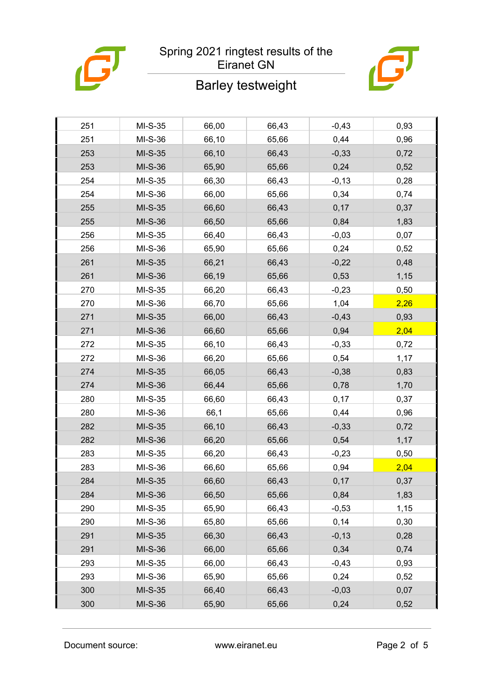



## Barley testweight

| 251 | MI-S-35   | 66,00 | 66,43 | $-0,43$ | 0,93 |
|-----|-----------|-------|-------|---------|------|
| 251 | MI-S-36   | 66,10 | 65,66 | 0,44    | 0,96 |
| 253 | MI-S-35   | 66,10 | 66,43 | $-0,33$ | 0,72 |
| 253 | MI-S-36   | 65,90 | 65,66 | 0,24    | 0,52 |
| 254 | MI-S-35   | 66,30 | 66,43 | $-0,13$ | 0,28 |
| 254 | MI-S-36   | 66,00 | 65,66 | 0,34    | 0,74 |
| 255 | MI-S-35   | 66,60 | 66,43 | 0,17    | 0,37 |
| 255 | MI-S-36   | 66,50 | 65,66 | 0,84    | 1,83 |
| 256 | MI-S-35   | 66,40 | 66,43 | $-0,03$ | 0,07 |
| 256 | MI-S-36   | 65,90 | 65,66 | 0,24    | 0,52 |
| 261 | $MI-S-35$ | 66,21 | 66,43 | $-0,22$ | 0,48 |
| 261 | MI-S-36   | 66,19 | 65,66 | 0,53    | 1,15 |
| 270 | MI-S-35   | 66,20 | 66,43 | $-0,23$ | 0,50 |
| 270 | MI-S-36   | 66,70 | 65,66 | 1,04    | 2,26 |
| 271 | MI-S-35   | 66,00 | 66,43 | $-0,43$ | 0,93 |
| 271 | MI-S-36   | 66,60 | 65,66 | 0,94    | 2,04 |
| 272 | MI-S-35   | 66,10 | 66,43 | $-0,33$ | 0,72 |
| 272 | MI-S-36   | 66,20 | 65,66 | 0,54    | 1,17 |
| 274 | $MI-S-35$ | 66,05 | 66,43 | $-0,38$ | 0,83 |
| 274 | MI-S-36   | 66,44 | 65,66 | 0,78    | 1,70 |
| 280 | MI-S-35   | 66,60 | 66,43 | 0,17    | 0,37 |
| 280 | MI-S-36   | 66,1  | 65,66 | 0,44    | 0,96 |
| 282 | MI-S-35   | 66,10 | 66,43 | $-0,33$ | 0,72 |
| 282 | MI-S-36   | 66,20 | 65,66 | 0,54    | 1,17 |
| 283 | MI-S-35   | 66,20 | 66,43 | $-0,23$ | 0,50 |
| 283 | MI-S-36   | 66,60 | 65,66 | 0,94    | 2,04 |
| 284 | MI-S-35   | 66,60 | 66,43 | 0,17    | 0,37 |
| 284 | MI-S-36   | 66,50 | 65,66 | 0,84    | 1,83 |
| 290 | MI-S-35   | 65,90 | 66,43 | $-0,53$ | 1,15 |
| 290 | MI-S-36   | 65,80 | 65,66 | 0,14    | 0,30 |
| 291 | MI-S-35   | 66,30 | 66,43 | $-0,13$ | 0,28 |
| 291 | MI-S-36   | 66,00 | 65,66 | 0,34    | 0,74 |
| 293 | MI-S-35   | 66,00 | 66,43 | $-0,43$ | 0,93 |
| 293 | MI-S-36   | 65,90 | 65,66 | 0,24    | 0,52 |
| 300 | $MI-S-35$ | 66,40 | 66,43 | $-0,03$ | 0,07 |
| 300 | MI-S-36   | 65,90 | 65,66 | 0,24    | 0,52 |
|     |           |       |       |         |      |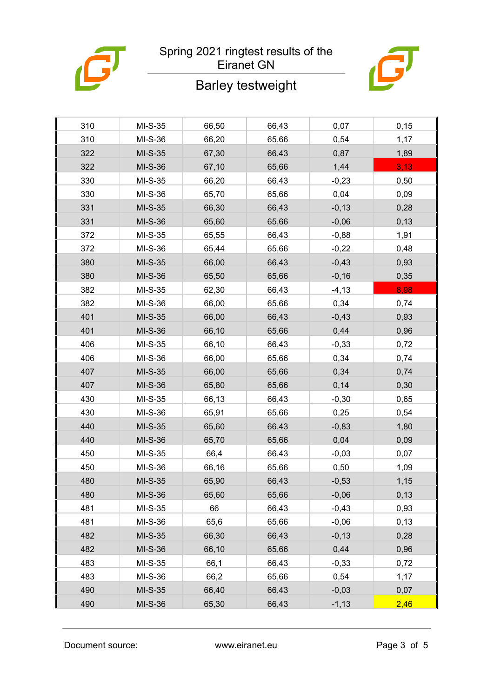

### Barley testweight



| 310 | MI-S-35   | 66,50 | 66,43 | 0,07     | 0, 15 |
|-----|-----------|-------|-------|----------|-------|
| 310 | MI-S-36   | 66,20 | 65,66 | 0,54     | 1,17  |
| 322 | $MI-S-35$ | 67,30 | 66,43 | 0,87     | 1,89  |
| 322 | MI-S-36   | 67,10 | 65,66 | 1,44     | 3,13  |
| 330 | $MI-S-35$ | 66,20 | 66,43 | $-0,23$  | 0,50  |
| 330 | MI-S-36   | 65,70 | 65,66 | 0,04     | 0,09  |
| 331 | MI-S-35   | 66,30 | 66,43 | $-0,13$  | 0,28  |
| 331 | MI-S-36   | 65,60 | 65,66 | $-0,06$  | 0, 13 |
| 372 | MI-S-35   | 65,55 | 66,43 | $-0,88$  | 1,91  |
| 372 | MI-S-36   | 65,44 | 65,66 | $-0,22$  | 0,48  |
| 380 | $MI-S-35$ | 66,00 | 66,43 | $-0,43$  | 0,93  |
| 380 | MI-S-36   | 65,50 | 65,66 | $-0,16$  | 0,35  |
| 382 | $MI-S-35$ | 62,30 | 66,43 | $-4, 13$ | 8,98  |
| 382 | MI-S-36   | 66,00 | 65,66 | 0,34     | 0,74  |
| 401 | MI-S-35   | 66,00 | 66,43 | $-0,43$  | 0,93  |
| 401 | MI-S-36   | 66,10 | 65,66 | 0,44     | 0,96  |
| 406 | MI-S-35   | 66,10 | 66,43 | $-0,33$  | 0,72  |
| 406 | MI-S-36   | 66,00 | 65,66 | 0,34     | 0,74  |
| 407 | $MI-S-35$ | 66,00 | 65,66 | 0,34     | 0,74  |
| 407 | MI-S-36   | 65,80 | 65,66 | 0,14     | 0,30  |
| 430 | MI-S-35   | 66,13 | 66,43 | $-0,30$  | 0,65  |
| 430 | MI-S-36   | 65,91 | 65,66 | 0,25     | 0,54  |
| 440 | MI-S-35   | 65,60 | 66,43 | $-0,83$  | 1,80  |
| 440 | MI-S-36   | 65,70 | 65,66 | 0,04     | 0,09  |
| 450 | $MI-S-35$ | 66,4  | 66,43 | $-0,03$  | 0,07  |
| 450 | MI-S-36   | 66,16 | 65,66 | 0,50     | 1,09  |
| 480 | MI-S-35   | 65,90 | 66,43 | $-0,53$  | 1,15  |
| 480 | MI-S-36   | 65,60 | 65,66 | $-0,06$  | 0,13  |
| 481 | MI-S-35   | 66    | 66,43 | $-0,43$  | 0,93  |
| 481 | MI-S-36   | 65,6  | 65,66 | $-0,06$  | 0,13  |
| 482 | $MI-S-35$ | 66,30 | 66,43 | $-0,13$  | 0,28  |
| 482 | MI-S-36   | 66,10 | 65,66 | 0,44     | 0,96  |
| 483 | MI-S-35   | 66,1  | 66,43 | $-0,33$  | 0,72  |
| 483 | MI-S-36   | 66,2  | 65,66 | 0,54     | 1,17  |
| 490 | MI-S-35   | 66,40 | 66,43 | $-0,03$  | 0,07  |
| 490 | MI-S-36   | 65,30 | 66,43 | $-1,13$  | 2,46  |

Document source: www.eiranet.eu Page 3 of 5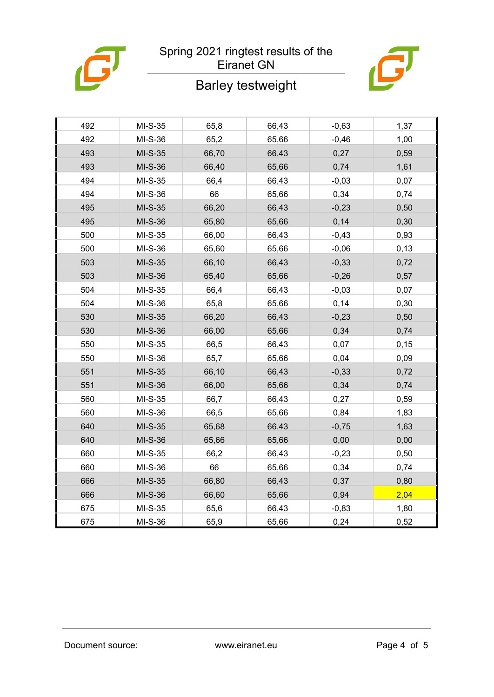



# Barley testweight

| 492 | MI-S-35 | 65,8  | 66,43 | $-0,63$ | 1,37  |
|-----|---------|-------|-------|---------|-------|
| 492 | MI-S-36 | 65,2  | 65,66 | $-0,46$ | 1,00  |
| 493 | MI-S-35 | 66,70 | 66,43 | 0,27    | 0,59  |
| 493 | MI-S-36 | 66,40 | 65,66 | 0,74    | 1,61  |
| 494 | MI-S-35 | 66,4  | 66,43 | $-0,03$ | 0,07  |
| 494 | MI-S-36 | 66    | 65,66 | 0,34    | 0,74  |
| 495 | MI-S-35 | 66,20 | 66,43 | $-0,23$ | 0,50  |
| 495 | MI-S-36 | 65,80 | 65,66 | 0,14    | 0,30  |
| 500 | MI-S-35 | 66,00 | 66,43 | $-0,43$ | 0,93  |
| 500 | MI-S-36 | 65,60 | 65,66 | $-0,06$ | 0,13  |
| 503 | MI-S-35 | 66,10 | 66,43 | $-0,33$ | 0,72  |
| 503 | MI-S-36 | 65,40 | 65,66 | $-0,26$ | 0,57  |
| 504 | MI-S-35 | 66,4  | 66,43 | $-0,03$ | 0,07  |
| 504 | MI-S-36 | 65,8  | 65,66 | 0,14    | 0,30  |
| 530 | MI-S-35 | 66,20 | 66,43 | $-0,23$ | 0,50  |
| 530 | MI-S-36 | 66,00 | 65,66 | 0,34    | 0,74  |
| 550 | MI-S-35 | 66,5  | 66,43 | 0,07    | 0, 15 |
| 550 | MI-S-36 | 65,7  | 65,66 | 0,04    | 0,09  |
| 551 | MI-S-35 | 66,10 | 66,43 | $-0,33$ | 0,72  |
| 551 | MI-S-36 | 66,00 | 65,66 | 0,34    | 0,74  |
| 560 | MI-S-35 | 66,7  | 66,43 | 0,27    | 0,59  |
| 560 | MI-S-36 | 66,5  | 65,66 | 0,84    | 1,83  |
| 640 | MI-S-35 | 65,68 | 66,43 | $-0,75$ | 1,63  |
| 640 | MI-S-36 | 65,66 | 65,66 | 0,00    | 0,00  |
| 660 | MI-S-35 | 66,2  | 66,43 | $-0,23$ | 0,50  |
| 660 | MI-S-36 | 66    | 65,66 | 0,34    | 0,74  |
| 666 | MI-S-35 | 66,80 | 66,43 | 0,37    | 0,80  |
| 666 | MI-S-36 | 66,60 | 65,66 | 0,94    | 2,04  |
| 675 | MI-S-35 | 65,6  | 66,43 | $-0,83$ | 1,80  |
| 675 | MI-S-36 | 65,9  | 65,66 | 0,24    | 0,52  |